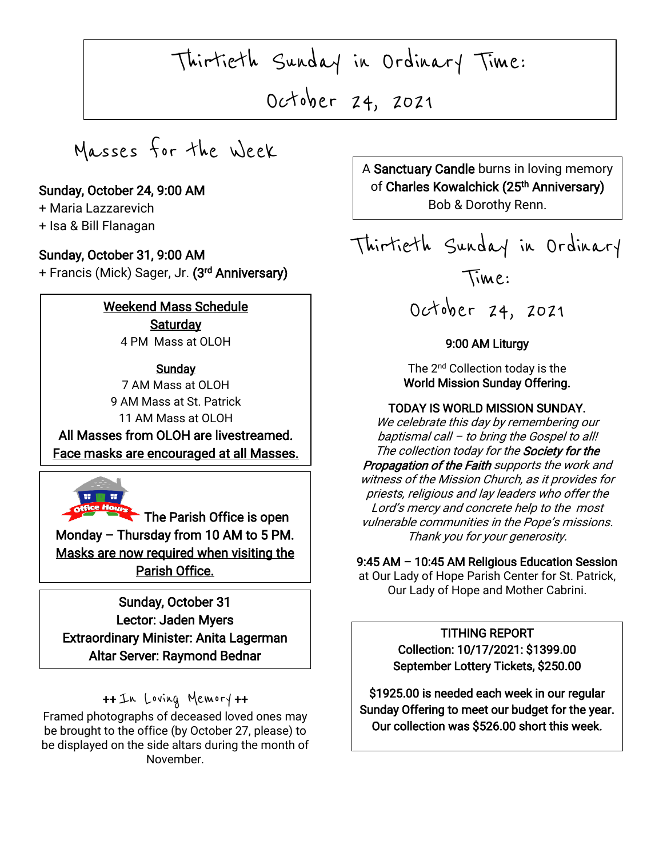Thirtieth Sunday in Ordinary Time:

October 24, 2021

 $\sqrt{2}$ 

 $\overline{\phantom{a}}$ 

Masses for the Week

# Sunday, October 24, 9:00 AM

+ Maria Lazzarevich

+ Isa & Bill Flanagan

I

I

# Sunday, October 31, 9:00 AM

+ Francis (Mick) Sager, Jr. **(3<sup>rd</sup> Anniversary)** 

## Weekend Mass Schedule **Saturday** 4 PM Mass at OLOH

## **Sunday**

7 AM Mass at OLOH 9 AM Mass at St. Patrick 11 AM Mass at OLOH

The Face masks are encouraged at all Masses. All Masses from OLOH are livestreamed.



 $\overline{\phantom{a}}$  The Parish Office is open Monday – Thursday from 10 AM to 5 PM. Masks are now required when visiting the Parish Office.

 Extraordinary Minister: Anita Lagerman  $\overline{a}$ Sunday, October 31 Lector: Jaden Myers Altar Server: Raymond Bednar

# ++ In Loving Memory ++

Framed photographs of deceased loved ones may be brought to the office (by October 27, please) to be displayed on the side altars during the month of November.

 $\sqrt{20}$ A Sanctuary Candle burns in loving memory of **Charles Kowalchick (25<sup>th</sup> Anniversary)** Bob & Dorothy Renn.

Thirtieth Sunday in Ordinary Time:

October 24, 2021

## 9:00 AM Liturgy

The 2<sup>nd</sup> Collection today is the World Mission Sunday Offering.

#### TODAY IS WORLD MISSION SUNDAY.

We celebrate this day by remembering our baptismal call – to bring the Gospel to all! The collection today for the **Society for the** Propagation of the Faith supports the work and witness of the Mission Church, as it provides for priests, religious and lay leaders who offer the Lord's mercy and concrete help to the most vulnerable communities in the Pope's missions. Thank you for your generosity.

9:45 AM – 10:45 AM Religious Education Session

at Our Lady of Hope Parish Center for St. Patrick, Our Lady of Hope and Mother Cabrini.

# TITHING REPORT

Collection: 10/17/2021: \$1399.00 September Lottery Tickets, \$250.00

\$1925.00 is needed each week in our regular Sunday Offering to meet our budget for the year. Our collection was \$526.00 short this week.